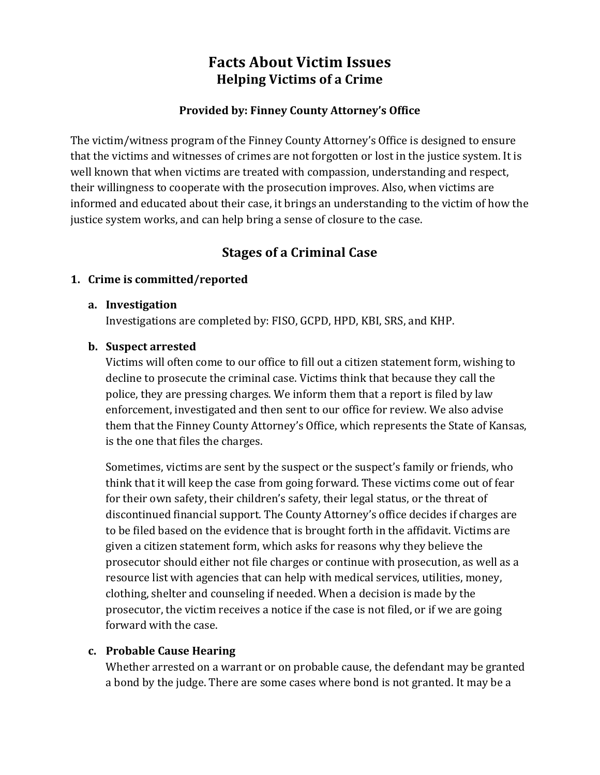# **Facts About Victim Issues Helping Victims of a Crime**

## Provided by: Finney County Attorney's Office

The victim/witness program of the Finney County Attorney's Office is designed to ensure that the victims and witnesses of crimes are not forgotten or lost in the justice system. It is well known that when victims are treated with compassion, understanding and respect, their willingness to cooperate with the prosecution improves. Also, when victims are informed and educated about their case, it brings an understanding to the victim of how the justice system works, and can help bring a sense of closure to the case.

## **Stages of a Criminal Case**

#### **1.** Crime is committed/reported

#### **a. Investigation**

Investigations are completed by: FISO, GCPD, HPD, KBI, SRS, and KHP.

#### **b.** Suspect arrested

Victims will often come to our office to fill out a citizen statement form, wishing to decline to prosecute the criminal case. Victims think that because they call the police, they are pressing charges. We inform them that a report is filed by law enforcement, investigated and then sent to our office for review. We also advise them that the Finney County Attorney's Office, which represents the State of Kansas, is the one that files the charges.

Sometimes, victims are sent by the suspect or the suspect's family or friends, who think that it will keep the case from going forward. These victims come out of fear for their own safety, their children's safety, their legal status, or the threat of discontinued financial support. The County Attorney's office decides if charges are to be filed based on the evidence that is brought forth in the affidavit. Victims are given a citizen statement form, which asks for reasons why they believe the prosecutor should either not file charges or continue with prosecution, as well as a resource list with agencies that can help with medical services, utilities, money, clothing, shelter and counseling if needed. When a decision is made by the prosecutor, the victim receives a notice if the case is not filed, or if we are going forward with the case.

#### **c. Probable&Cause&Hearing**

Whether arrested on a warrant or on probable cause, the defendant may be granted a bond by the judge. There are some cases where bond is not granted. It may be a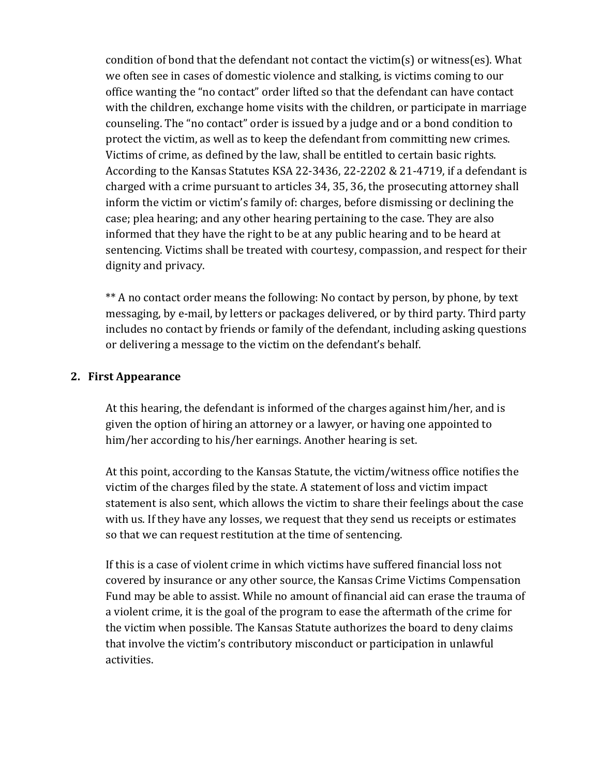condition of bond that the defendant not contact the victim(s) or witness(es). What we often see in cases of domestic violence and stalking, is victims coming to our office wanting the "no contact" order lifted so that the defendant can have contact with the children, exchange home visits with the children, or participate in marriage counseling. The "no contact" order is issued by a judge and or a bond condition to protect the victim, as well as to keep the defendant from committing new crimes. Victims of crime, as defined by the law, shall be entitled to certain basic rights. According to the Kansas Statutes KSA 22-3436, 22-2202 & 21-4719, if a defendant is charged with a crime pursuant to articles 34, 35, 36, the prosecuting attorney shall inform the victim or victim's family of: charges, before dismissing or declining the case; plea hearing; and any other hearing pertaining to the case. They are also informed that they have the right to be at any public hearing and to be heard at sentencing. Victims shall be treated with courtesy, compassion, and respect for their dignity and privacy.

\*\* A no contact order means the following: No contact by person, by phone, by text messaging, by e-mail, by letters or packages delivered, or by third party. Third party includes no contact by friends or family of the defendant, including asking questions or delivering a message to the victim on the defendant's behalf.

#### **2. First&Appearance**

At this hearing, the defendant is informed of the charges against him/her, and is given the option of hiring an attorney or a lawyer, or having one appointed to him/her according to his/her earnings. Another hearing is set.

At this point, according to the Kansas Statute, the victim/witness office notifies the victim of the charges filed by the state. A statement of loss and victim impact statement is also sent, which allows the victim to share their feelings about the case with us. If they have any losses, we request that they send us receipts or estimates so that we can request restitution at the time of sentencing.

If this is a case of violent crime in which victims have suffered financial loss not covered by insurance or any other source, the Kansas Crime Victims Compensation Fund may be able to assist. While no amount of financial aid can erase the trauma of a violent crime, it is the goal of the program to ease the aftermath of the crime for the victim when possible. The Kansas Statute authorizes the board to deny claims that involve the victim's contributory misconduct or participation in unlawful activities.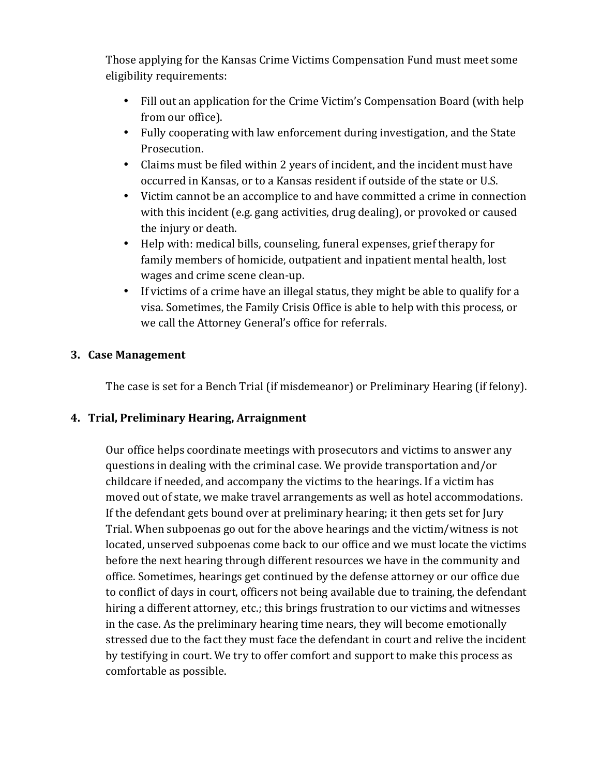Those applying for the Kansas Crime Victims Compensation Fund must meet some eligibility requirements:

- Fill out an application for the Crime Victim's Compensation Board (with help from our office).
- Fully cooperating with law enforcement during investigation, and the State Prosecution.
- Claims must be filed within 2 years of incident, and the incident must have occurred in Kansas, or to a Kansas resident if outside of the state or U.S.
- Victim cannot be an accomplice to and have committed a crime in connection with this incident (e.g. gang activities, drug dealing), or provoked or caused the injury or death.
- Help with: medical bills, counseling, funeral expenses, grief therapy for family members of homicide, outpatient and inpatient mental health, lost wages and crime scene clean-up.
- If victims of a crime have an illegal status, they might be able to qualify for a visa. Sometimes, the Family Crisis Office is able to help with this process, or we call the Attorney General's office for referrals.

## **3. Case&Management**

The case is set for a Bench Trial (if misdemeanor) or Preliminary Hearing (if felony).

## **4. Trial,&Preliminary&Hearing,&Arraignment**

Our office helps coordinate meetings with prosecutors and victims to answer any questions in dealing with the criminal case. We provide transportation and/or childcare if needed, and accompany the victims to the hearings. If a victim has moved out of state, we make travel arrangements as well as hotel accommodations. If the defendant gets bound over at preliminary hearing; it then gets set for Jury Trial. When subpoenas go out for the above hearings and the victim/witness is not located, unserved subpoenas come back to our office and we must locate the victims before the next hearing through different resources we have in the community and office. Sometimes, hearings get continued by the defense attorney or our office due to conflict of days in court, officers not being available due to training, the defendant hiring a different attorney, etc.; this brings frustration to our victims and witnesses in the case. As the preliminary hearing time nears, they will become emotionally stressed due to the fact they must face the defendant in court and relive the incident by testifying in court. We try to offer comfort and support to make this process as comfortable as possible.